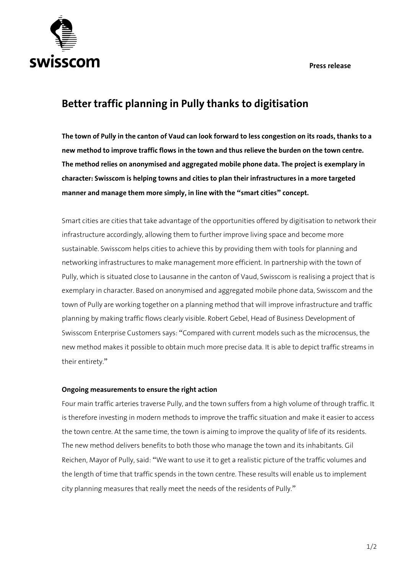**Press release** 



## **Better traffic planning in Pully thanks to digitisation**

**The town of Pully in the canton of Vaud can look forward to less congestion on its roads, thanks to a new method to improve traffic flows in the town and thus relieve the burden on the town centre. The method relies on anonymised and aggregated mobile phone data. The project is exemplary in character: Swisscom is helping towns and cities to plan their infrastructures in a more targeted manner and manage them more simply, in line with the "smart cities" concept.** 

Smart cities are cities that take advantage of the opportunities offered by digitisation to network their infrastructure accordingly, allowing them to further improve living space and become more sustainable. Swisscom helps cities to achieve this by providing them with tools for planning and networking infrastructures to make management more efficient. In partnership with the town of Pully, which is situated close to Lausanne in the canton of Vaud, Swisscom is realising a project that is exemplary in character. Based on anonymised and aggregated mobile phone data, Swisscom and the town of Pully are working together on a planning method that will improve infrastructure and traffic planning by making traffic flows clearly visible. Robert Gebel, Head of Business Development of Swisscom Enterprise Customers says: "Compared with current models such as the microcensus, the new method makes it possible to obtain much more precise data. It is able to depict traffic streams in their entirety."

## **Ongoing measurements to ensure the right action**

Four main traffic arteries traverse Pully, and the town suffers from a high volume of through traffic. It is therefore investing in modern methods to improve the traffic situation and make it easier to access the town centre. At the same time, the town is aiming to improve the quality of life of its residents. The new method delivers benefits to both those who manage the town and its inhabitants. Gil Reichen, Mayor of Pully, said: "We want to use it to get a realistic picture of the traffic volumes and the length of time that traffic spends in the town centre. These results will enable us to implement city planning measures that really meet the needs of the residents of Pully."